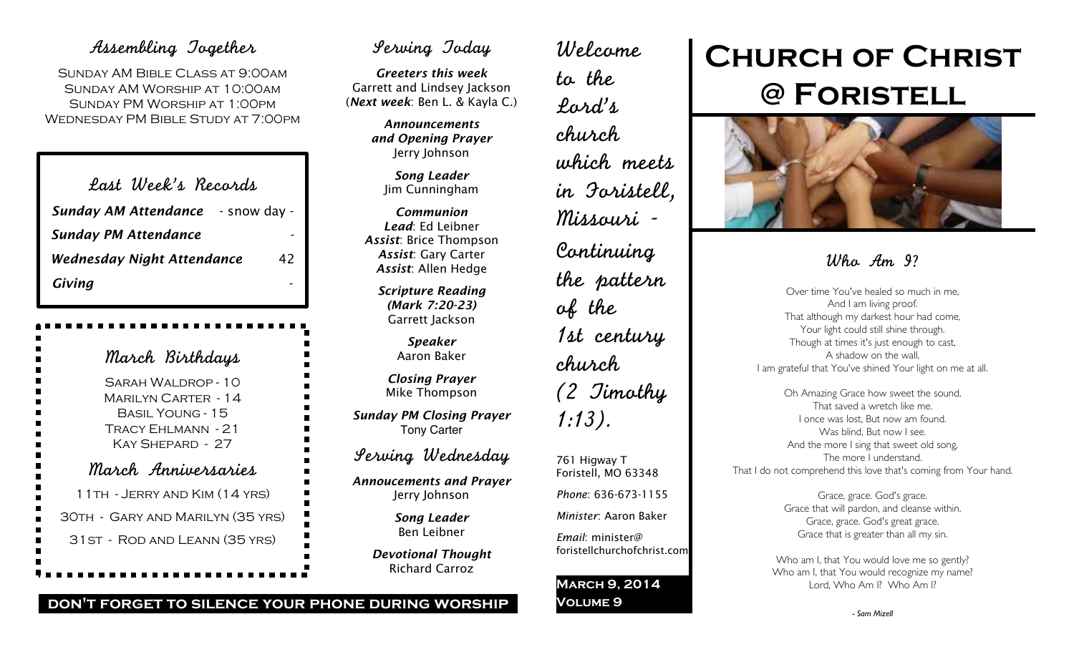### Assembling Together

SUNDAY AM BIBLE CLASS AT 9:00AM Sunday AM Worship at 10:00am Sunday PM Worship at 1:00pm Wednesday PM Bible Study at 7:00pm

| Last Week's Records                      |    |
|------------------------------------------|----|
| <b>Sunday AM Attendance</b> - snow day - |    |
| <b>Sunday PM Attendance</b>              |    |
| <b>Wednesday Night Attendance</b>        | 42 |
| Giving                                   |    |

March Birthdays Sarah Waldrop - 10 Marilyn Carter - 14 Basil Young - 15 Tracy Ehlmann - 21 Kay Shepard - 27 March Anniversaries 11th - Jerry and Kim (14 yrs) 30th - Gary and Marilyn (35 yrs) 31st - Rod and Leann (35 yrs)

## Serving Today

*Greeters this week* Garrett and Lindsey Jackson (*Next week*: Ben L. & Kayla C.)

> *Announcements and Opening Prayer* Jerry Johnson

> > *Song Leader* Jim Cunningham

*Communion Lead*: Ed Leibner *Assist*: Brice Thompson *Assist*: Gary Carter *Assist*: Allen Hedge

> *Scripture Reading (Mark 7:20-23)* Garrett Jackson

> > *Speaker* Aaron Baker

*Closing Prayer* Mike Thompson

*Sunday PM Closing Prayer* Tony Carter

Serving Wednesday

*Annoucements and Prayer* Jerry Johnson

> *Song Leader* Ben Leibner

*Devotional Thought* Richard Carroz

Welcome to the Lord's church which meets in Foristell, Missouri - Continuing the pattern of the 1st century church (2 Timothy 1:13). 761 Higway T Foristell, MO 63348

*Phone*: 636-673-1155

*Minister*: Aaron Baker

*Email*: minister@ foristellchurchofchrist.com

**March 9, 2014 Volume 9**

# **Church of Christ @ Foristell**



## Wha Am 9?

Over time You've healed so much in me, And I am living proof. That although my darkest hour had come, Your light could still shine through. Though at times it's just enough to cast, A shadow on the wall. I am grateful that You've shined Your light on me at all.

Oh Amazing Grace how sweet the sound, That saved a wretch like me. I once was lost, But now am found. Was blind, But now I see. And the more I sing that sweet old song, The more I understand. That I do not comprehend this love that's coming from Your hand.

> Grace, grace. God's grace. Grace that will pardon, and cleanse within. Grace, grace. God's great grace. Grace that is greater than all my sin.

Who am I, that You would love me so gently? Who am I, that You would recognize my name? Lord, Who Am I? Who Am I?

### **don't forget to silence your phone during worship**